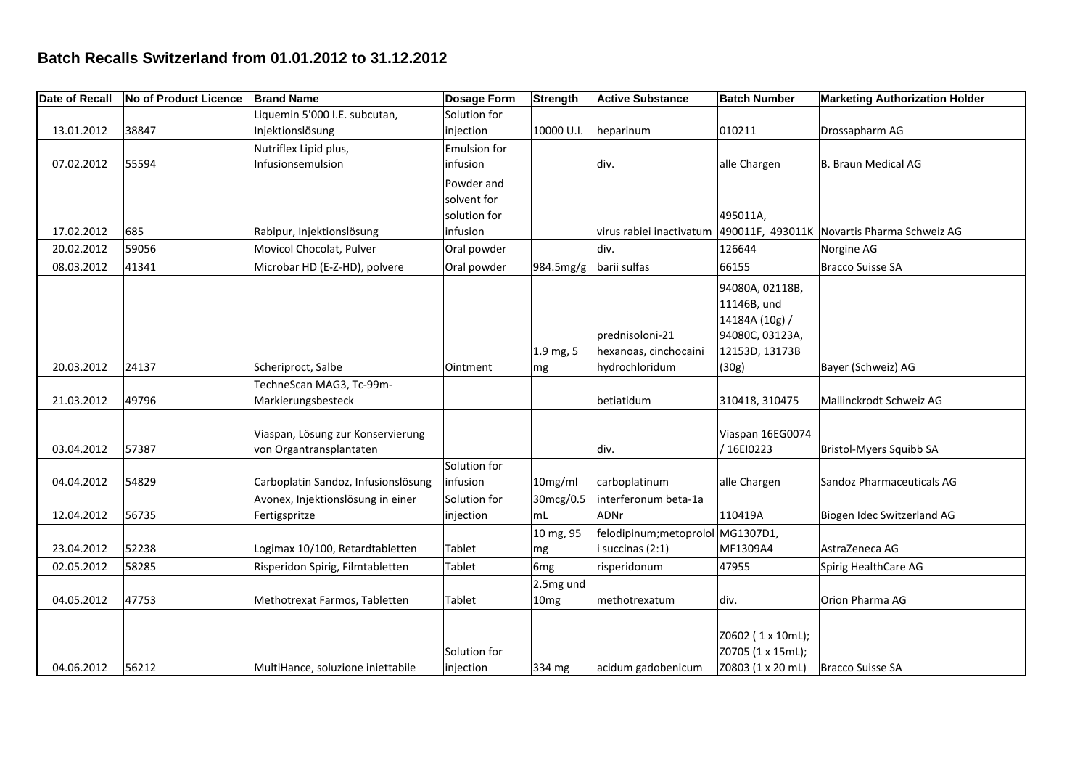## **Batch Recalls Switzerland from 01.01.2012 to 31.12.2012**

| <b>Date of Recall</b> | <b>No of Product Licence</b> | <b>Brand Name</b>                   | <b>Dosage Form</b> | <b>Strength</b>  | <b>Active Substance</b>           | <b>Batch Number</b> | <b>Marketing Authorization Holder</b>       |
|-----------------------|------------------------------|-------------------------------------|--------------------|------------------|-----------------------------------|---------------------|---------------------------------------------|
|                       |                              | Liquemin 5'000 I.E. subcutan,       | Solution for       |                  |                                   |                     |                                             |
| 13.01.2012            | 38847                        | Injektionslösung                    | injection          | 10000 U.I.       | heparinum                         | 010211              | Drossapharm AG                              |
|                       |                              | Nutriflex Lipid plus,               | Emulsion for       |                  |                                   |                     |                                             |
| 07.02.2012            | 55594                        | Infusionsemulsion                   | infusion           |                  | div.                              | alle Chargen        | B. Braun Medical AG                         |
|                       |                              |                                     | Powder and         |                  |                                   |                     |                                             |
|                       |                              |                                     | solvent for        |                  |                                   |                     |                                             |
|                       |                              |                                     | solution for       |                  |                                   | 495011A,            |                                             |
| 17.02.2012            | 685                          | Rabipur, Injektionslösung           | infusion           |                  | virus rabiei inactivatum          |                     | 490011F, 493011K Novartis Pharma Schweiz AG |
| 20.02.2012            | 59056                        | Movicol Chocolat, Pulver            | Oral powder        |                  | div.                              | 126644              | Norgine AG                                  |
| 08.03.2012            | 41341                        | Microbar HD (E-Z-HD), polvere       | Oral powder        | 984.5mg/g        | barii sulfas                      | 66155               | <b>Bracco Suisse SA</b>                     |
|                       |                              |                                     |                    |                  |                                   | 94080A, 02118B,     |                                             |
|                       |                              |                                     |                    |                  |                                   | 11146B, und         |                                             |
|                       |                              |                                     |                    |                  |                                   | 14184A (10g) /      |                                             |
|                       |                              |                                     |                    |                  | prednisoloni-21                   | 94080C, 03123A,     |                                             |
|                       |                              |                                     |                    | 1.9 mg, 5        | hexanoas, cinchocaini             | 12153D, 13173B      |                                             |
| 20.03.2012            | 24137                        | Scheriproct, Salbe                  | Ointment           | mg               | hydrochloridum                    | (30g)               | Bayer (Schweiz) AG                          |
|                       |                              | TechneScan MAG3, Tc-99m-            |                    |                  |                                   |                     |                                             |
| 21.03.2012            | 49796                        | Markierungsbesteck                  |                    |                  | betiatidum                        | 310418, 310475      | Mallinckrodt Schweiz AG                     |
|                       |                              |                                     |                    |                  |                                   |                     |                                             |
|                       |                              | Viaspan, Lösung zur Konservierung   |                    |                  |                                   | Viaspan 16EG0074    |                                             |
| 03.04.2012            | 57387                        | von Organtransplantaten             |                    |                  | div.                              | / 16EI0223          | <b>Bristol-Myers Squibb SA</b>              |
|                       |                              |                                     | Solution for       |                  |                                   |                     |                                             |
| 04.04.2012            | 54829                        | Carboplatin Sandoz, Infusionslösung | infusion           | 10mg/ml          | carboplatinum                     | alle Chargen        | Sandoz Pharmaceuticals AG                   |
|                       |                              | Avonex, Injektionslösung in einer   | Solution for       | 30mcg/0.5        | interferonum beta-1a              |                     |                                             |
| 12.04.2012            | 56735                        | Fertigspritze                       | injection          | mL               | <b>ADNr</b>                       | 110419A             | Biogen Idec Switzerland AG                  |
|                       |                              |                                     |                    | 10 mg, 95        | felodipinum; metoprolol MG1307D1, |                     |                                             |
| 23.04.2012            | 52238                        | Logimax 10/100, Retardtabletten     | Tablet             | mg               | i succinas (2:1)                  | MF1309A4            | AstraZeneca AG                              |
| 02.05.2012            | 58285                        | Risperidon Spirig, Filmtabletten    | Tablet             | 6 <sub>mg</sub>  | risperidonum                      | 47955               | Spirig HealthCare AG                        |
|                       |                              |                                     |                    | 2.5mg und        |                                   |                     |                                             |
| 04.05.2012            | 47753                        | Methotrexat Farmos, Tabletten       | Tablet             | 10 <sub>mg</sub> | methotrexatum                     | div.                | Orion Pharma AG                             |
|                       |                              |                                     |                    |                  |                                   |                     |                                             |
|                       |                              |                                     |                    |                  |                                   | Z0602 (1 x 10mL);   |                                             |
|                       |                              |                                     | Solution for       |                  |                                   | Z0705 (1 x 15mL);   |                                             |
| 04.06.2012            | 56212                        | MultiHance, soluzione iniettabile   | injection          | 334 mg           | acidum gadobenicum                | Z0803 (1 x 20 mL)   | Bracco Suisse SA                            |